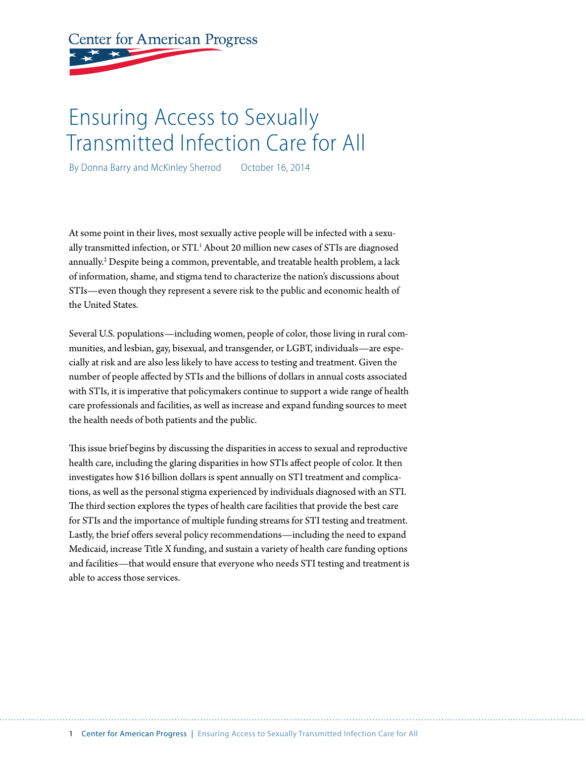# **Center for American Progress**

# Ensuring Access to Sexually Transmitted Infection Care for All

By Donna Barry and McKinley Sherrod October 16, 2014

At some point in their lives, most sexually active people will be infected with a sexually transmitted infection, or STI.<sup>1</sup> About 20 million new cases of STIs are diagnosed annually.2 Despite being a common, preventable, and treatable health problem, a lack of information, shame, and stigma tend to characterize the nation's discussions about STIs—even though they represent a severe risk to the public and economic health of the United States.

Several U.S. populations—including women, people of color, those living in rural communities, and lesbian, gay, bisexual, and transgender, or LGBT, individuals—are especially at risk and are also less likely to have access to testing and treatment. Given the number of people affected by STIs and the billions of dollars in annual costs associated with STIs, it is imperative that policymakers continue to support a wide range of health care professionals and facilities, as well as increase and expand funding sources to meet the health needs of both patients and the public.

This issue brief begins by discussing the disparities in access to sexual and reproductive health care, including the glaring disparities in how STIs affect people of color. It then investigates how \$16 billion dollars is spent annually on STI treatment and complications, as well as the personal stigma experienced by individuals diagnosed with an STI. The third section explores the types of health care facilities that provide the best care for STIs and the importance of multiple funding streams for STI testing and treatment. Lastly, the brief offers several policy recommendations—including the need to expand Medicaid, increase Title X funding, and sustain a variety of health care funding options and facilities—that would ensure that everyone who needs STI testing and treatment is able to access those services.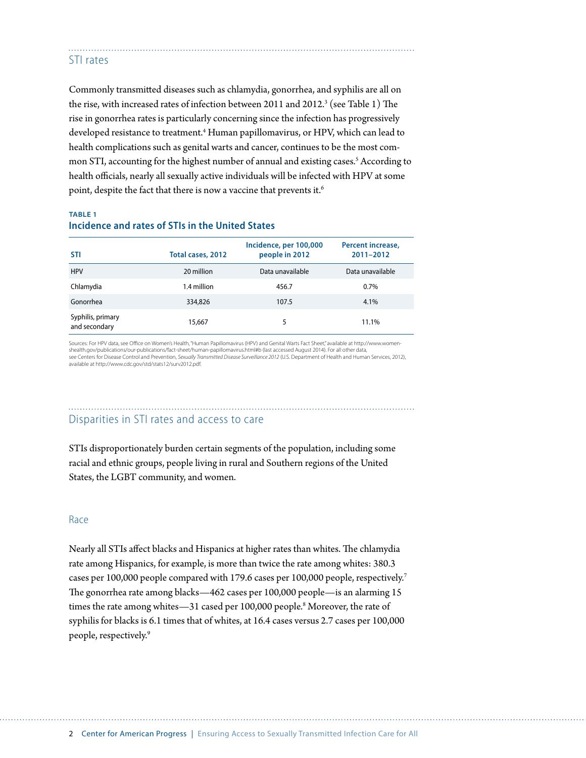#### STI rates

Commonly transmitted diseases such as chlamydia, gonorrhea, and syphilis are all on the rise, with increased rates of infection between 2011 and 2012. $^3$  (see Table 1) The rise in gonorrhea rates is particularly concerning since the infection has progressively developed resistance to treatment.4 Human papillomavirus, or HPV, which can lead to health complications such as genital warts and cancer, continues to be the most common STI, accounting for the highest number of annual and existing cases.<sup>5</sup> According to health officials, nearly all sexually active individuals will be infected with HPV at some point, despite the fact that there is now a vaccine that prevents it.<sup>6</sup>

#### **TABLE 1 Incidence and rates of STIs in the United States**

| <b>STI</b>                         | Total cases, 2012 | Incidence, per 100,000<br>people in 2012 | Percent increase,<br>2011-2012 |
|------------------------------------|-------------------|------------------------------------------|--------------------------------|
| <b>HPV</b>                         | 20 million        | Data unavailable                         | Data unavailable               |
| Chlamydia                          | 1.4 million       | 456.7                                    | 0.7%                           |
| Gonorrhea                          | 334,826           | 107.5                                    | 4.1%                           |
| Syphilis, primary<br>and secondary | 15,667            | 5                                        | 11.1%                          |

Sources: For HPV data, see Office on Women's Health, "Human Papillomavirus (HPV) and Genital Warts Fact Sheet," available at http://www.womenshealth.gov/publications/our-publications/fact-sheet/human-papillomavirus.html#b (last accessed August 2014). For all other data,<br>see Centers for Disease Control and Prevention, S*exually Transmitted Disease Surveillance 2* available at http://www.cdc.gov/std/stats12/surv2012.pdf.

### Disparities in STI rates and access to care

STIs disproportionately burden certain segments of the population, including some racial and ethnic groups, people living in rural and Southern regions of the United States, the LGBT community, and women.

#### Race

Nearly all STIs affect blacks and Hispanics at higher rates than whites. The chlamydia rate among Hispanics, for example, is more than twice the rate among whites: 380.3 cases per 100,000 people compared with 179.6 cases per 100,000 people, respectively.7 The gonorrhea rate among blacks—462 cases per 100,000 people—is an alarming 15 times the rate among whites—31 cased per 100,000 people.<sup>8</sup> Moreover, the rate of syphilis for blacks is 6.1 times that of whites, at 16.4 cases versus 2.7 cases per 100,000 people, respectively.9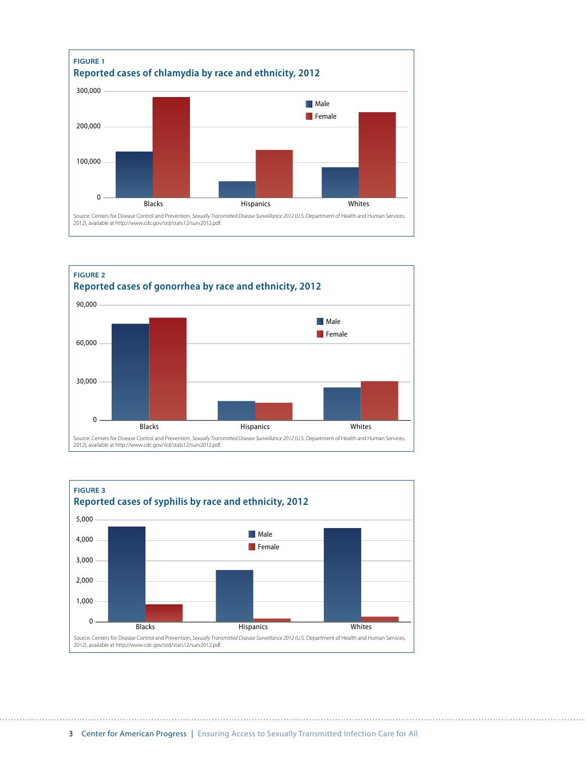



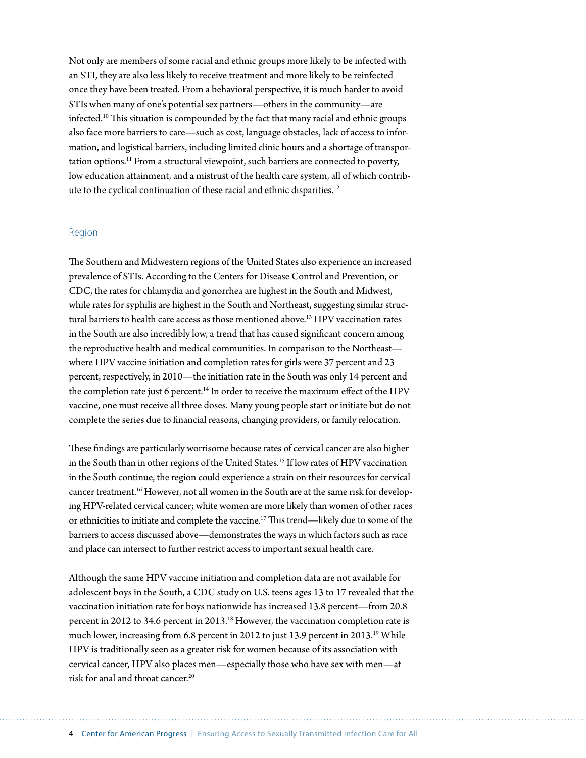Not only are members of some racial and ethnic groups more likely to be infected with an STI, they are also less likely to receive treatment and more likely to be reinfected once they have been treated. From a behavioral perspective, it is much harder to avoid STIs when many of one's potential sex partners—others in the community—are infected.10 This situation is compounded by the fact that many racial and ethnic groups also face more barriers to care—such as cost, language obstacles, lack of access to information, and logistical barriers, including limited clinic hours and a shortage of transportation options.11 From a structural viewpoint, such barriers are connected to poverty, low education attainment, and a mistrust of the health care system, all of which contribute to the cyclical continuation of these racial and ethnic disparities.<sup>12</sup>

#### Region

The Southern and Midwestern regions of the United States also experience an increased prevalence of STIs. According to the Centers for Disease Control and Prevention, or CDC, the rates for chlamydia and gonorrhea are highest in the South and Midwest, while rates for syphilis are highest in the South and Northeast, suggesting similar structural barriers to health care access as those mentioned above.13 HPV vaccination rates in the South are also incredibly low, a trend that has caused significant concern among the reproductive health and medical communities. In comparison to the Northeast where HPV vaccine initiation and completion rates for girls were 37 percent and 23 percent, respectively, in 2010—the initiation rate in the South was only 14 percent and the completion rate just 6 percent.<sup>14</sup> In order to receive the maximum effect of the HPV vaccine, one must receive all three doses. Many young people start or initiate but do not complete the series due to financial reasons, changing providers, or family relocation.

These findings are particularly worrisome because rates of cervical cancer are also higher in the South than in other regions of the United States.15 If low rates of HPV vaccination in the South continue, the region could experience a strain on their resources for cervical cancer treatment.<sup>16</sup> However, not all women in the South are at the same risk for developing HPV-related cervical cancer; white women are more likely than women of other races or ethnicities to initiate and complete the vaccine.17 This trend—likely due to some of the barriers to access discussed above—demonstrates the ways in which factors such as race and place can intersect to further restrict access to important sexual health care.

Although the same HPV vaccine initiation and completion data are not available for adolescent boys in the South, a CDC study on U.S. teens ages 13 to 17 revealed that the vaccination initiation rate for boys nationwide has increased 13.8 percent—from 20.8 percent in 2012 to 34.6 percent in 2013.<sup>18</sup> However, the vaccination completion rate is much lower, increasing from 6.8 percent in 2012 to just 13.9 percent in 2013.19 While HPV is traditionally seen as a greater risk for women because of its association with cervical cancer, HPV also places men—especially those who have sex with men—at risk for anal and throat cancer.20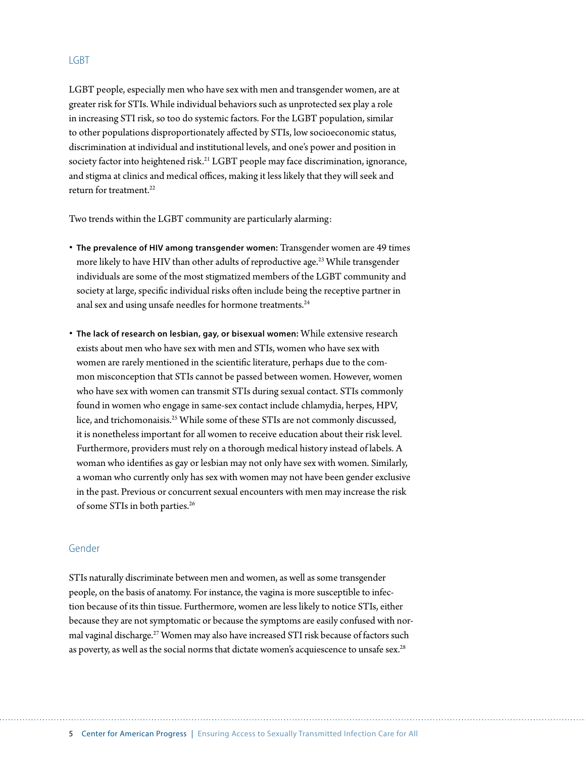#### **LGBT**

LGBT people, especially men who have sex with men and transgender women, are at greater risk for STIs. While individual behaviors such as unprotected sex play a role in increasing STI risk, so too do systemic factors. For the LGBT population, similar to other populations disproportionately affected by STIs, low socioeconomic status, discrimination at individual and institutional levels, and one's power and position in society factor into heightened risk.<sup>21</sup> LGBT people may face discrimination, ignorance, and stigma at clinics and medical offices, making it less likely that they will seek and return for treatment.<sup>22</sup>

Two trends within the LGBT community are particularly alarming:

- **The prevalence of HIV among transgender women:** Transgender women are 49 times more likely to have HIV than other adults of reproductive age.<sup>23</sup> While transgender individuals are some of the most stigmatized members of the LGBT community and society at large, specific individual risks often include being the receptive partner in anal sex and using unsafe needles for hormone treatments.<sup>24</sup>
- **The lack of research on lesbian, gay, or bisexual women:** While extensive research exists about men who have sex with men and STIs, women who have sex with women are rarely mentioned in the scientific literature, perhaps due to the common misconception that STIs cannot be passed between women. However, women who have sex with women can transmit STIs during sexual contact. STIs commonly found in women who engage in same-sex contact include chlamydia, herpes, HPV, lice, and trichomonaisis.25 While some of these STIs are not commonly discussed, it is nonetheless important for all women to receive education about their risk level. Furthermore, providers must rely on a thorough medical history instead of labels. A woman who identifies as gay or lesbian may not only have sex with women. Similarly, a woman who currently only has sex with women may not have been gender exclusive in the past. Previous or concurrent sexual encounters with men may increase the risk of some STIs in both parties.26

#### Gender

STIs naturally discriminate between men and women, as well as some transgender people, on the basis of anatomy. For instance, the vagina is more susceptible to infection because of its thin tissue. Furthermore, women are less likely to notice STIs, either because they are not symptomatic or because the symptoms are easily confused with normal vaginal discharge.<sup>27</sup> Women may also have increased STI risk because of factors such as poverty, as well as the social norms that dictate women's acquiescence to unsafe sex.<sup>28</sup>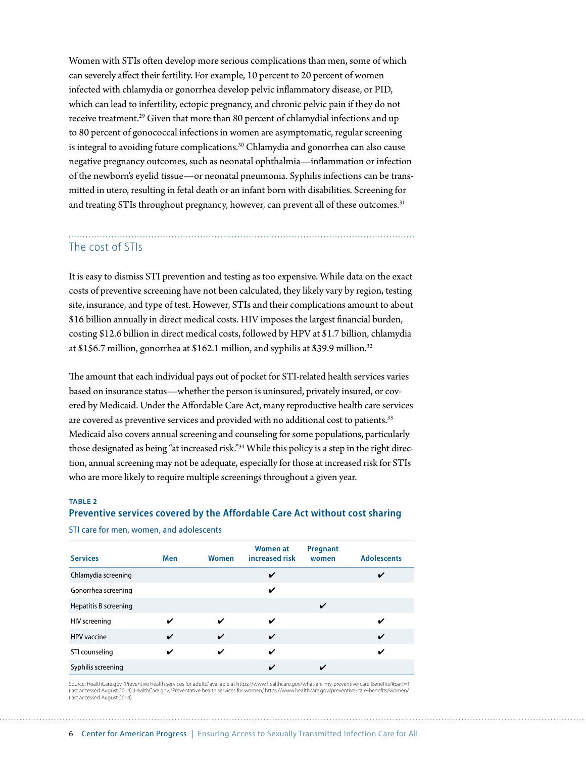Women with STIs often develop more serious complications than men, some of which can severely affect their fertility. For example, 10 percent to 20 percent of women infected with chlamydia or gonorrhea develop pelvic inflammatory disease, or PID, which can lead to infertility, ectopic pregnancy, and chronic pelvic pain if they do not receive treatment.<sup>29</sup> Given that more than 80 percent of chlamydial infections and up to 80 percent of gonococcal infections in women are asymptomatic, regular screening is integral to avoiding future complications.<sup>30</sup> Chlamydia and gonorrhea can also cause negative pregnancy outcomes, such as neonatal ophthalmia—inflammation or infection of the newborn's eyelid tissue—or neonatal pneumonia. Syphilis infections can be transmitted in utero, resulting in fetal death or an infant born with disabilities. Screening for and treating STIs throughout pregnancy, however, can prevent all of these outcomes.<sup>31</sup>

# The cost of STIs

It is easy to dismiss STI prevention and testing as too expensive. While data on the exact costs of preventive screening have not been calculated, they likely vary by region, testing site, insurance, and type of test. However, STIs and their complications amount to about \$16 billion annually in direct medical costs. HIV imposes the largest financial burden, costing \$12.6 billion in direct medical costs, followed by HPV at \$1.7 billion, chlamydia at \$156.7 million, gonorrhea at \$162.1 million, and syphilis at \$39.9 million.32

The amount that each individual pays out of pocket for STI-related health services varies based on insurance status—whether the person is uninsured, privately insured, or covered by Medicaid. Under the Affordable Care Act, many reproductive health care services are covered as preventive services and provided with no additional cost to patients.<sup>33</sup> Medicaid also covers annual screening and counseling for some populations, particularly those designated as being "at increased risk."34 While this policy is a step in the right direction, annual screening may not be adequate, especially for those at increased risk for STIs who are more likely to require multiple screenings throughout a given year.

#### **TABLE 2 Preventive services covered by the Affordable Care Act without cost sharing**

STI care for men, women, and adolescents

| <b>Services</b>       | <b>Men</b> | <b>Women</b> | <b>Women at</b><br>increased risk | Pregnant<br>women | <b>Adolescents</b> |
|-----------------------|------------|--------------|-----------------------------------|-------------------|--------------------|
| Chlamydia screening   |            |              | ✓                                 |                   | ✔                  |
| Gonorrhea screening   |            |              | ✓                                 |                   |                    |
| Hepatitis B screening |            |              |                                   | ✓                 |                    |
| HIV screening         | V          | ✓            | ✓                                 |                   | ✔                  |
| <b>HPV</b> vaccine    | ✓          | ✓            | ✓                                 |                   | $\mathbf v$        |
| STI counseling        | ✔          | ✔            | ✓                                 |                   | ✓                  |
| Syphilis screening    |            |              | ✓                                 |                   |                    |

Source: HealthCare.gov, "Preventive health services for adults," available at https://www.healthcare.gov/what-are-my-preventive-care-benefits/#part=1 (last accessed August 2014); HealthCare.gov, "Preventative health services for women," https://www.healthcare.gov/preventive-care-benefits/women/ (last accessed August 2014).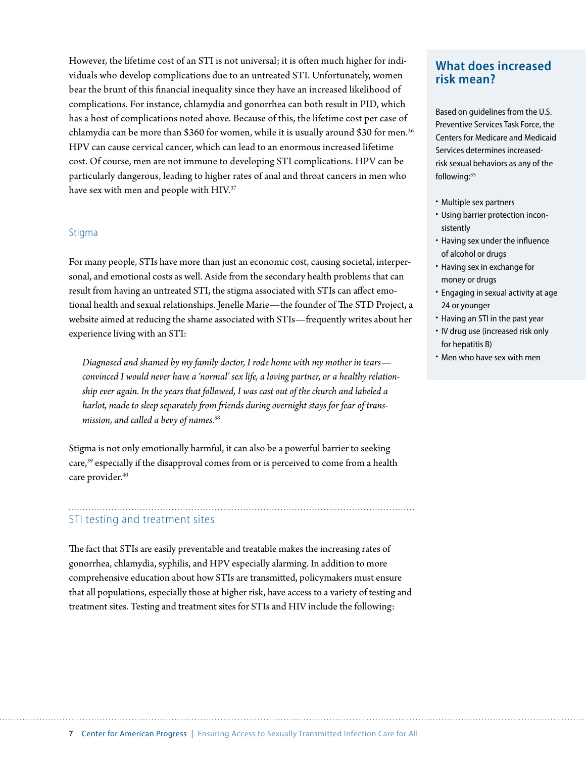However, the lifetime cost of an STI is not universal; it is often much higher for individuals who develop complications due to an untreated STI. Unfortunately, women bear the brunt of this financial inequality since they have an increased likelihood of complications. For instance, chlamydia and gonorrhea can both result in PID, which has a host of complications noted above. Because of this, the lifetime cost per case of chlamydia can be more than \$360 for women, while it is usually around \$30 for men.36 HPV can cause cervical cancer, which can lead to an enormous increased lifetime cost. Of course, men are not immune to developing STI complications. HPV can be particularly dangerous, leading to higher rates of anal and throat cancers in men who have sex with men and people with HIV.<sup>37</sup>

#### Stigma

For many people, STIs have more than just an economic cost, causing societal, interpersonal, and emotional costs as well. Aside from the secondary health problems that can result from having an untreated STI, the stigma associated with STIs can affect emotional health and sexual relationships. Jenelle Marie—the founder of The STD Project, a website aimed at reducing the shame associated with STIs—frequently writes about her experience living with an STI:

*Diagnosed and shamed by my family doctor, I rode home with my mother in tears convinced I would never have a 'normal' sex life, a loving partner, or a healthy relationship ever again. In the years that followed, I was cast out of the church and labeled a harlot, made to sleep separately from friends during overnight stays for fear of transmission, and called a bevy of names.*<sup>38</sup>

Stigma is not only emotionally harmful, it can also be a powerful barrier to seeking care,<sup>39</sup> especially if the disapproval comes from or is perceived to come from a health care provider.<sup>40</sup>

#### STI testing and treatment sites

The fact that STIs are easily preventable and treatable makes the increasing rates of gonorrhea, chlamydia, syphilis, and HPV especially alarming. In addition to more comprehensive education about how STIs are transmitted, policymakers must ensure that all populations, especially those at higher risk, have access to a variety of testing and treatment sites. Testing and treatment sites for STIs and HIV include the following:

# **What does increased risk mean?**

Based on guidelines from the U.S. Preventive Services Task Force, the Centers for Medicare and Medicaid Services determines increasedrisk sexual behaviors as any of the following:<sup>35</sup>

- Multiple sex partners
- Using barrier protection inconsistently
- Having sex under the influence of alcohol or drugs
- Having sex in exchange for money or drugs
- Engaging in sexual activity at age 24 or younger
- Having an STI in the past year
- IV drug use (increased risk only for hepatitis B)
- Men who have sex with men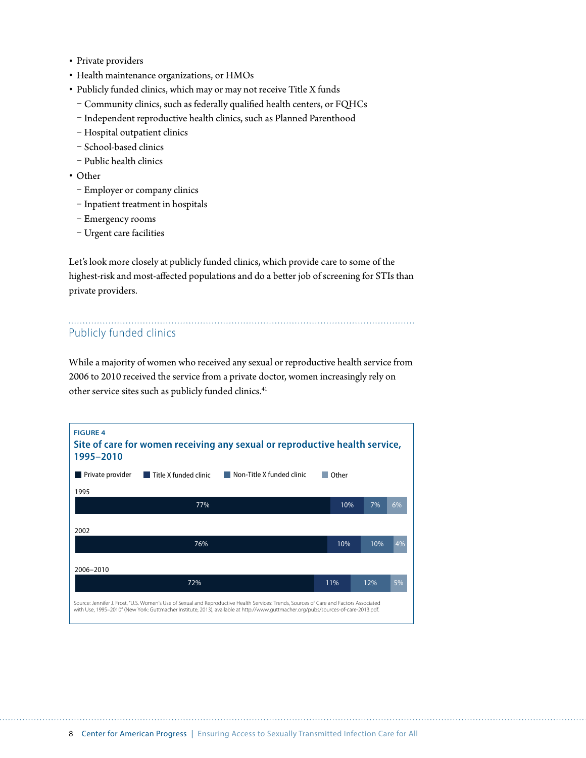- Private providers
- Health maintenance organizations, or HMOs
- Publicly funded clinics, which may or may not receive Title X funds
	- Community clinics, such as federally qualified health centers, or FQHCs
	- Independent reproductive health clinics, such as Planned Parenthood
	- Hospital outpatient clinics
	- School-based clinics
	- Public health clinics
- Other
	- Employer or company clinics
	- Inpatient treatment in hospitals
	- Emergency rooms
	- Urgent care facilities

Let's look more closely at publicly funded clinics, which provide care to some of the highest-risk and most-affected populations and do a better job of screening for STIs than private providers.

# Publicly funded clinics

While a majority of women who received any sexual or reproductive health service from 2006 to 2010 received the service from a private doctor, women increasingly rely on other service sites such as publicly funded clinics.<sup>41</sup>

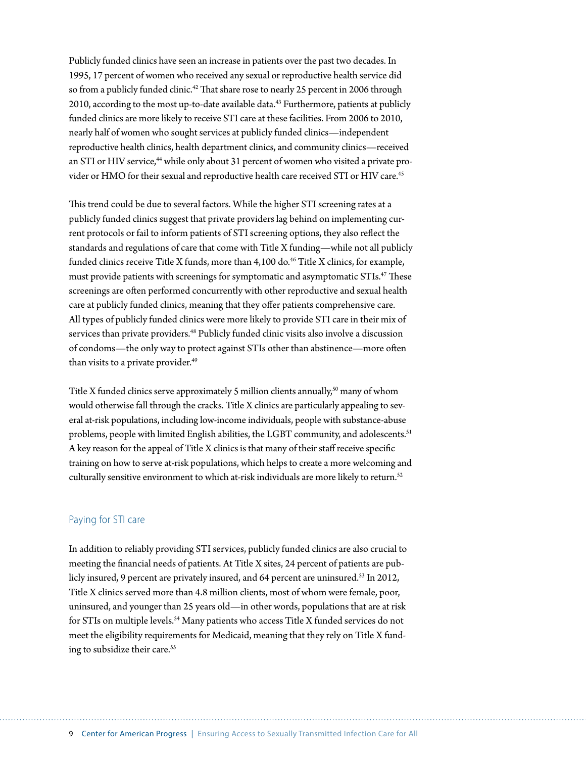Publicly funded clinics have seen an increase in patients over the past two decades. In 1995, 17 percent of women who received any sexual or reproductive health service did so from a publicly funded clinic.<sup>42</sup> That share rose to nearly 25 percent in 2006 through 2010, according to the most up-to-date available data.<sup>43</sup> Furthermore, patients at publicly funded clinics are more likely to receive STI care at these facilities. From 2006 to 2010, nearly half of women who sought services at publicly funded clinics—independent reproductive health clinics, health department clinics, and community clinics—received an STI or HIV service,<sup>44</sup> while only about 31 percent of women who visited a private provider or HMO for their sexual and reproductive health care received STI or HIV care.<sup>45</sup>

This trend could be due to several factors. While the higher STI screening rates at a publicly funded clinics suggest that private providers lag behind on implementing current protocols or fail to inform patients of STI screening options, they also reflect the standards and regulations of care that come with Title X funding—while not all publicly funded clinics receive Title X funds, more than  $4,100$  do.<sup>46</sup> Title X clinics, for example, must provide patients with screenings for symptomatic and asymptomatic STIs.47 These screenings are often performed concurrently with other reproductive and sexual health care at publicly funded clinics, meaning that they offer patients comprehensive care. All types of publicly funded clinics were more likely to provide STI care in their mix of services than private providers.<sup>48</sup> Publicly funded clinic visits also involve a discussion of condoms—the only way to protect against STIs other than abstinence—more often than visits to a private provider.<sup>49</sup>

Title X funded clinics serve approximately 5 million clients annually,<sup>50</sup> many of whom would otherwise fall through the cracks. Title X clinics are particularly appealing to several at-risk populations, including low-income individuals, people with substance-abuse problems, people with limited English abilities, the LGBT community, and adolescents.<sup>51</sup> A key reason for the appeal of Title X clinics is that many of their staff receive specific training on how to serve at-risk populations, which helps to create a more welcoming and culturally sensitive environment to which at-risk individuals are more likely to return.<sup>52</sup>

#### Paying for STI care

In addition to reliably providing STI services, publicly funded clinics are also crucial to meeting the financial needs of patients. At Title X sites, 24 percent of patients are publicly insured, 9 percent are privately insured, and 64 percent are uninsured.<sup>53</sup> In 2012, Title X clinics served more than 4.8 million clients, most of whom were female, poor, uninsured, and younger than 25 years old—in other words, populations that are at risk for STIs on multiple levels.<sup>54</sup> Many patients who access Title X funded services do not meet the eligibility requirements for Medicaid, meaning that they rely on Title X funding to subsidize their care.<sup>55</sup>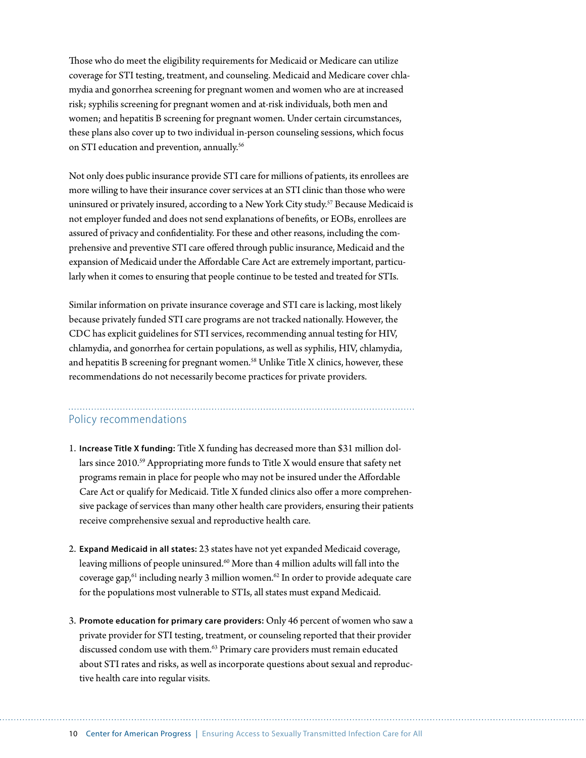Those who do meet the eligibility requirements for Medicaid or Medicare can utilize coverage for STI testing, treatment, and counseling. Medicaid and Medicare cover chlamydia and gonorrhea screening for pregnant women and women who are at increased risk; syphilis screening for pregnant women and at-risk individuals, both men and women; and hepatitis B screening for pregnant women. Under certain circumstances, these plans also cover up to two individual in-person counseling sessions, which focus on STI education and prevention, annually.<sup>56</sup>

Not only does public insurance provide STI care for millions of patients, its enrollees are more willing to have their insurance cover services at an STI clinic than those who were uninsured or privately insured, according to a New York City study.<sup>57</sup> Because Medicaid is not employer funded and does not send explanations of benefits, or EOBs, enrollees are assured of privacy and confidentiality. For these and other reasons, including the comprehensive and preventive STI care offered through public insurance, Medicaid and the expansion of Medicaid under the Affordable Care Act are extremely important, particularly when it comes to ensuring that people continue to be tested and treated for STIs.

Similar information on private insurance coverage and STI care is lacking, most likely because privately funded STI care programs are not tracked nationally. However, the CDC has explicit guidelines for STI services, recommending annual testing for HIV, chlamydia, and gonorrhea for certain populations, as well as syphilis, HIV, chlamydia, and hepatitis B screening for pregnant women.<sup>58</sup> Unlike Title X clinics, however, these recommendations do not necessarily become practices for private providers.

## Policy recommendations

- 1. **Increase Title X funding:** Title X funding has decreased more than \$31 million dollars since 2010.59 Appropriating more funds to Title X would ensure that safety net programs remain in place for people who may not be insured under the Affordable Care Act or qualify for Medicaid. Title X funded clinics also offer a more comprehensive package of services than many other health care providers, ensuring their patients receive comprehensive sexual and reproductive health care.
- 2. **Expand Medicaid in all states:** 23 states have not yet expanded Medicaid coverage, leaving millions of people uninsured.<sup>60</sup> More than 4 million adults will fall into the coverage gap, $61$  including nearly 3 million women. $62$  In order to provide adequate care for the populations most vulnerable to STIs, all states must expand Medicaid.
- 3. **Promote education for primary care providers:** Only 46 percent of women who saw a private provider for STI testing, treatment, or counseling reported that their provider discussed condom use with them.<sup>63</sup> Primary care providers must remain educated about STI rates and risks, as well as incorporate questions about sexual and reproductive health care into regular visits.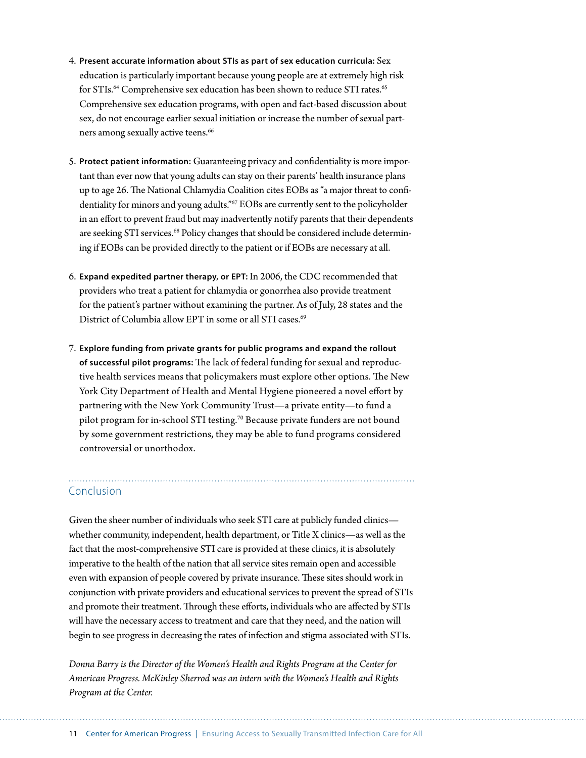- 4. **Present accurate information about STIs as part of sex education curricula:** Sex education is particularly important because young people are at extremely high risk for STIs.<sup>64</sup> Comprehensive sex education has been shown to reduce STI rates.<sup>65</sup> Comprehensive sex education programs, with open and fact-based discussion about sex, do not encourage earlier sexual initiation or increase the number of sexual partners among sexually active teens.<sup>66</sup>
- 5. **Protect patient information:** Guaranteeing privacy and confidentiality is more important than ever now that young adults can stay on their parents' health insurance plans up to age 26. The National Chlamydia Coalition cites EOBs as "a major threat to confidentiality for minors and young adults."67 EOBs are currently sent to the policyholder in an effort to prevent fraud but may inadvertently notify parents that their dependents are seeking STI services.<sup>68</sup> Policy changes that should be considered include determining if EOBs can be provided directly to the patient or if EOBs are necessary at all.
- 6. **Expand expedited partner therapy, or EPT:** In 2006, the CDC recommended that providers who treat a patient for chlamydia or gonorrhea also provide treatment for the patient's partner without examining the partner. As of July, 28 states and the District of Columbia allow EPT in some or all STI cases.<sup>69</sup>
- 7. **Explore funding from private grants for public programs and expand the rollout of successful pilot programs:** The lack of federal funding for sexual and reproductive health services means that policymakers must explore other options. The New York City Department of Health and Mental Hygiene pioneered a novel effort by partnering with the New York Community Trust—a private entity—to fund a pilot program for in-school STI testing.<sup>70</sup> Because private funders are not bound by some government restrictions, they may be able to fund programs considered controversial or unorthodox.

#### Conclusion

Given the sheer number of individuals who seek STI care at publicly funded clinics whether community, independent, health department, or Title X clinics—as well as the fact that the most-comprehensive STI care is provided at these clinics, it is absolutely imperative to the health of the nation that all service sites remain open and accessible even with expansion of people covered by private insurance. These sites should work in conjunction with private providers and educational services to prevent the spread of STIs and promote their treatment. Through these efforts, individuals who are affected by STIs will have the necessary access to treatment and care that they need, and the nation will begin to see progress in decreasing the rates of infection and stigma associated with STIs.

*Donna Barry is the Director of the Women's Health and Rights Program at the Center for American Progress. McKinley Sherrod was an intern with the Women's Health and Rights Program at the Center.*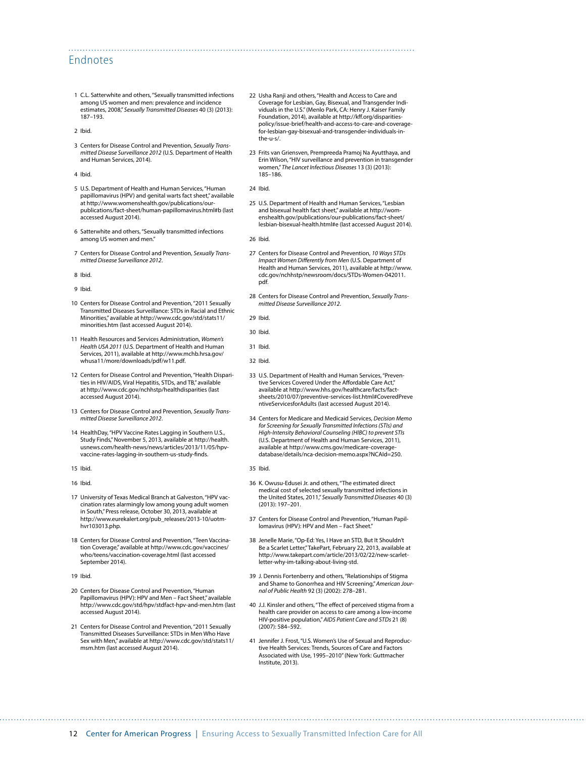#### Endnotes

- 1 C.L. Satterwhite and others, "Sexually transmitted infections among US women and men: prevalence and incidence estimates, 2008," *Sexually Transmitted Diseases* 40 (3) (2013): 187–193.
- 2 Ibid.
- 3 Centers for Disease Control and Prevention, *Sexually Transmitted Disease Surveillance 2012* (U.S. Department of Health and Human Services, 2014).
- 4 Ibid.
- 5 U.S. Department of Health and Human Services, "Human papillomavirus (HPV) and genital warts fact sheet," available at [http://www.womenshealth.gov/publications/our](http://www.womenshealth.gov/publications/our-publications/fact-sheet/human-papillomavirus.html#b)[publications/fact-sheet/human-papillomavirus.html#b](http://www.womenshealth.gov/publications/our-publications/fact-sheet/human-papillomavirus.html#b) (last accessed August 2014).
- 6 Satterwhite and others, "Sexually transmitted infections among US women and men."
- 7 Centers for Disease Control and Prevention, *Sexually Transmitted Disease Surveillance 2012*.
- 8 Ibid.
- 9 Ibid.
- 10 Centers for Disease Control and Prevention, "2011 Sexually Transmitted Diseases Surveillance: STDs in Racial and Ethnic Minorities," available at [http://www.cdc.gov/std/stats11/](http://www.cdc.gov/std/stats11/minorities.htm%20) [minorities.htm](http://www.cdc.gov/std/stats11/minorities.htm%20) (last accessed August 2014).
- 11 Health Resources and Services Administration, *Women's Health USA 2011* (U.S. Department of Health and Human Services, 2011), available at [http://www.mchb.hrsa.gov/](http://www.mchb.hrsa.gov/whusa11/more/downloads/pdf/w11.pdf) [whusa11/more/downloads/pdf/w11.pdf.](http://www.mchb.hrsa.gov/whusa11/more/downloads/pdf/w11.pdf)
- 12 Centers for Disease Control and Prevention, "Health Disparities in HIV/AIDS, Viral Hepatitis, STDs, and TB," available at [http://www.cdc.gov/nchhstp/healthdisparities](http://www.cdc.gov/nchhstp/healthdisparities%20) (last accessed August 2014).
- 13 Centers for Disease Control and Prevention, *Sexually Transmitted Disease Surveillance 2012*.
- 14 HealthDay, "HPV Vaccine Rates Lagging in Southern U.S., Study Finds," November 5, 2013, available at [http://health.](http://health.usnews.com/health-news/news/articles/2013/11/05/hpv-vaccine-rates-lagging-in-southern-us-study-finds) [usnews.com/health-news/news/articles/2013/11/05/hpv](http://health.usnews.com/health-news/news/articles/2013/11/05/hpv-vaccine-rates-lagging-in-southern-us-study-finds)[vaccine-rates-lagging-in-southern-us-study-finds](http://health.usnews.com/health-news/news/articles/2013/11/05/hpv-vaccine-rates-lagging-in-southern-us-study-finds).
- 15 Ibid.
- 16 Ibid.
- 17 University of Texas Medical Branch at Galveston, "HPV vaccination rates alarmingly low among young adult women in South," Press release, October 30, 2013, available at [http://www.eurekalert.org/pub\\_releases/2013-10/uotm](http://www.eurekalert.org/pub_releases/2013-10/uotm-hvr103013.php%20)[hvr103013.php](http://www.eurekalert.org/pub_releases/2013-10/uotm-hvr103013.php%20).
- 18 Centers for Disease Control and Prevention, "Teen Vaccination Coverage," available at [http://www.cdc.gov/vaccines/](http://www.cdc.gov/vaccines/who/teens/vaccination-coverage.html) [who/teens/vaccination-coverage.html](http://www.cdc.gov/vaccines/who/teens/vaccination-coverage.html) (last accessed September 2014).
- 19 Ibid.
- 20 Centers for Disease Control and Prevention, "Human Papillomavirus (HPV): HPV and Men - Fact Sheet," available <http://www.cdc.gov/std/hpv/stdfact-hpv-and-men.htm> (last accessed August 2014).
- 21 Centers for Disease Control and Prevention, "2011 Sexually Transmitted Diseases Surveillance: STDs in Men Who Have Sex with Men," available at [http://www.cdc.gov/std/stats11/](http://www.cdc.gov/std/stats11/msm.htm) [msm.htm](http://www.cdc.gov/std/stats11/msm.htm) (last accessed August 2014).
- 22 Usha Ranji and others, "Health and Access to Care and Coverage for Lesbian, Gay, Bisexual, and Transgender Individuals in the U.S." (Menlo Park, CA: Henry J. Kaiser Family Foundation, 2014), available at [http://kff.org/disparities](http://kff.org/disparities-policy/issue-brief/health-and-access-to-care-and-coverage-for-lesbian-gay-bisexual-and-transgender-individuals-in-the-u-s/)[policy/issue-brief/health-and-access-to-care-and-coverage](http://kff.org/disparities-policy/issue-brief/health-and-access-to-care-and-coverage-for-lesbian-gay-bisexual-and-transgender-individuals-in-the-u-s/)[for-lesbian-gay-bisexual-and-transgender-individuals-in](http://kff.org/disparities-policy/issue-brief/health-and-access-to-care-and-coverage-for-lesbian-gay-bisexual-and-transgender-individuals-in-the-u-s/)[the-u-s/.](http://kff.org/disparities-policy/issue-brief/health-and-access-to-care-and-coverage-for-lesbian-gay-bisexual-and-transgender-individuals-in-the-u-s/)
- 23 Frits van Griensven, Prempreeda Pramoj Na Ayutthaya, and Erin Wilson, "HIV surveillance and prevention in transgender women," *The Lancet Infectious Diseases* 13 (3) (2013): 185–186.
- 24 Ibid.

- 25 U.S. Department of Health and Human Services, "Lesbian and bisexual health fact sheet," available at http://womenshealth.gov/publications/our-publications/fact-sheet/ lesbian-bisexual-health.html#e (last accessed August 2014).
- 26 Ibid.
- 27 Centers for Disease Control and Prevention, *10 Ways STDs Impact Women Differently from Men* (U.S. Department of Health and Human Services, 2011), available at [http://www.](http://www.cdc.gov/nchhstp/newsroom/docs/STDs-Women-042011.pdf) [cdc.gov/nchhstp/newsroom/docs/STDs-Women-042011.](http://www.cdc.gov/nchhstp/newsroom/docs/STDs-Women-042011.pdf) [pdf](http://www.cdc.gov/nchhstp/newsroom/docs/STDs-Women-042011.pdf).
- 28 Centers for Disease Control and Prevention, *Sexually Transmitted Disease Surveillance 2012*.
- 29 Ibid.
- 30 Ibid.
- 31 Ibid.
- 32 Ibid.
- 33 U.S. Department of Health and Human Services, "Preventive Services Covered Under the Affordable Care Act" available at http://www.hhs.gov/healthcare/facts/factsheets/2010/07/preventive-services-list.html#CoveredPreve ntiveServicesforAdults (last accessed August 2014).
- 34 Centers for Medicare and Medicaid Services, *Decision Memo for Screening for Sexually Transmitted Infections (STIs) and High-Intensity Behavioral Counseling (HIBC) to prevent STIs* (U.S. Department of Health and Human Services, 2011), available at [http://www.cms.gov/medicare-coverage](http://www.cms.gov/medicare-coverage-database/details/nca-decision-memo.aspx?NCAId=250)[database/details/nca-decision-memo.aspx?NCAId=250.](http://www.cms.gov/medicare-coverage-database/details/nca-decision-memo.aspx?NCAId=250)
- 35 Ibid.
- 36 K. Owusu-Edusei Jr. and others, "The estimated direct medical cost of selected sexually transmitted infections in the United States, 2011," *Sexually Transmitted Diseases* 40 (3) (2013): 197–201.
- 37 Centers for Disease Control and Prevention, "Human Papillomavirus (HPV): HPV and Men - Fact Sheet.
- 38 Jenelle Marie, "Op-Ed: Yes, I Have an STD, But It Shouldn't Be a Scarlet Letter," TakePart, February 22, 2013, available at [http://www.takepart.com/article/2013/02/22/new-scarlet](http://www.takepart.com/article/2013/02/22/new-scarlet-letter-why-im-talking-about-living-std)[letter-why-im-talking-about-living-std](http://www.takepart.com/article/2013/02/22/new-scarlet-letter-why-im-talking-about-living-std).
- 39 J. Dennis Fortenberry and others, "Relationships of Stigma and Shame to Gonorrhea and HIV Screening," *American Journal of Public Health* 92 (3) (2002): 278–281.
- 40 J.J. Kinsler and others, "The effect of perceived stigma from a health care provider on access to care among a low-income HIV-positive population," *AIDS Patient Care and STDs* 21 (8) (2007): 584–592.
- 41 Jennifer J. Frost, "U.S. Women's Use of Sexual and Reproductive Health Services: Trends, Sources of Care and Factors Associated with Use, 1995–2010" (New York: Guttmacher Institute, 2013).